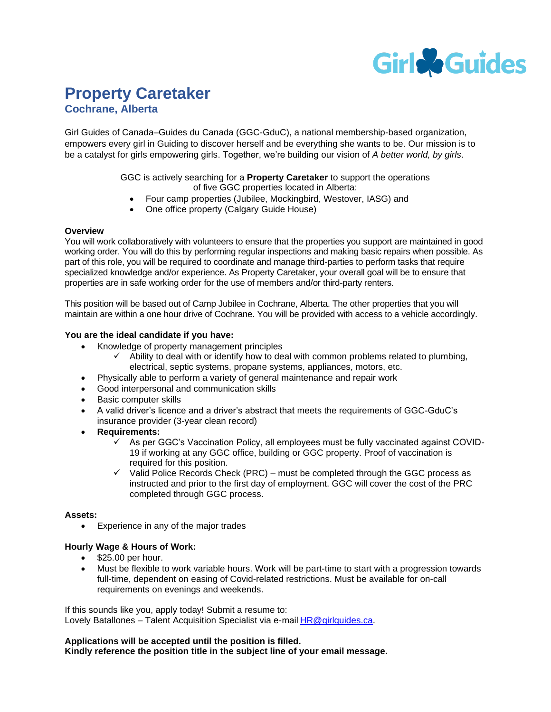

## **Property Caretaker Cochrane, Alberta**

Girl Guides of Canada–Guides du Canada (GGC-GduC), a national membership-based organization, empowers every girl in Guiding to discover herself and be everything she wants to be. Our mission is to be a catalyst for girls empowering girls. Together, we're building our vision of *A better world, by girls*.

#### GGC is actively searching for a **Property Caretaker** to support the operations of five GGC properties located in Alberta:

- Four camp properties (Jubilee, Mockingbird, Westover, IASG) and
- One office property (Calgary Guide House)

#### **Overview**

You will work collaboratively with volunteers to ensure that the properties you support are maintained in good working order. You will do this by performing regular inspections and making basic repairs when possible. As part of this role, you will be required to coordinate and manage third-parties to perform tasks that require specialized knowledge and/or experience. As Property Caretaker, your overall goal will be to ensure that properties are in safe working order for the use of members and/or third-party renters.

This position will be based out of Camp Jubilee in Cochrane, Alberta. The other properties that you will maintain are within a one hour drive of Cochrane. You will be provided with access to a vehicle accordingly.

#### **You are the ideal candidate if you have:**

- Knowledge of property management principles
	- $\checkmark$  Ability to deal with or identify how to deal with common problems related to plumbing, electrical, septic systems, propane systems, appliances, motors, etc.
- Physically able to perform a variety of general maintenance and repair work
- Good interpersonal and communication skills
- Basic computer skills
- A valid driver's licence and a driver's abstract that meets the requirements of GGC-GduC's insurance provider (3-year clean record)
- **Requirements:**
	- $\checkmark$  As per GGC's Vaccination Policy, all employees must be fully vaccinated against COVID-19 if working at any GGC office, building or GGC property. Proof of vaccination is required for this position.
	- $\checkmark$  Valid Police Records Check (PRC) must be completed through the GGC process as instructed and prior to the first day of employment. GGC will cover the cost of the PRC completed through GGC process.

#### **Assets:**

Experience in any of the major trades

### **Hourly Wage & Hours of Work:**

- \$25.00 per hour.
- Must be flexible to work variable hours. Work will be part-time to start with a progression towards full-time, dependent on easing of Covid-related restrictions. Must be available for on-call requirements on evenings and weekends.

If this sounds like you, apply today! Submit a resume to: Lovely Batallones – Talent Acquisition Specialist via e-mail HR@girlguides.ca.

#### **Applications will be accepted until the position is filled. Kindly reference the position title in the subject line of your email message.**